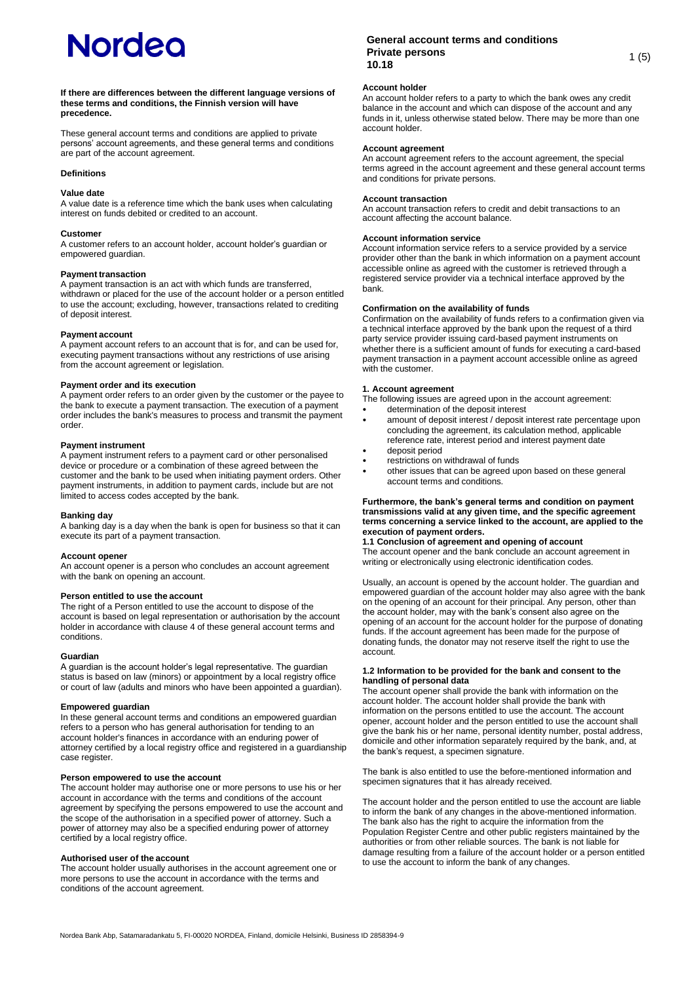#### **If there are differences between the different language versions of these terms and conditions, the Finnish version will have precedence.**

These general account terms and conditions are applied to private persons' account agreements, and these general terms and conditions are part of the account agreement.

## **Definitions**

## **Value date**

A value date is a reference time which the bank uses when calculating interest on funds debited or credited to an account.

#### **Customer**

A customer refers to an account holder, account holder's guardian or empowered guardian.

## **Payment transaction**

A payment transaction is an act with which funds are transferred, withdrawn or placed for the use of the account holder or a person entitled to use the account; excluding, however, transactions related to crediting of deposit interest.

#### **Payment account**

A payment account refers to an account that is for, and can be used for, executing payment transactions without any restrictions of use arising from the account agreement or legislation.

#### **Payment order and its execution**

A payment order refers to an order given by the customer or the payee to the bank to execute a payment transaction. The execution of a payment order includes the bank's measures to process and transmit the payment order.

#### **Payment instrument**

A payment instrument refers to a payment card or other personalised device or procedure or a combination of these agreed between the customer and the bank to be used when initiating payment orders. Other payment instruments, in addition to payment cards, include but are not limited to access codes accepted by the bank.

## **Banking day**

A banking day is a day when the bank is open for business so that it can execute its part of a payment transaction.

#### **Account opener**

An account opener is a person who concludes an account agreement with the bank on opening an account.

## **Person entitled to use the account**

The right of a Person entitled to use the account to dispose of the account is based on legal representation or authorisation by the account holder in accordance with clause 4 of these general account terms and conditions.

#### **Guardian**

A guardian is the account holder's legal representative. The guardian status is based on law (minors) or appointment by a local registry office or court of law (adults and minors who have been appointed a guardian).

## **Empowered guardian**

In these general account terms and conditions an empowered guardian refers to a person who has general authorisation for tending to an account holder's finances in accordance with an enduring power of attorney certified by a local registry office and registered in a guardianship case register.

## **Person empowered to use the account**

The account holder may authorise one or more persons to use his or her account in accordance with the terms and conditions of the account agreement by specifying the persons empowered to use the account and the scope of the authorisation in a specified power of attorney. Such a power of attorney may also be a specified enduring power of attorney certified by a local registry office.

#### **Authorised user of the account**

The account holder usually authorises in the account agreement one or more persons to use the account in accordance with the terms and conditions of the account agreement.

## **General account terms and conditions Private persons 10.18** 1 (5)<br>**10.18**

## **Account holder**

An account holder refers to a party to which the bank owes any credit balance in the account and which can dispose of the account and any funds in it, unless otherwise stated below. There may be more than one account holder.

## **Account agreement**

An account agreement refers to the account agreement, the special terms agreed in the account agreement and these general account terms and conditions for private persons.

## **Account transaction**

An account transaction refers to credit and debit transactions to an account affecting the account balance.

## **Account information service**

Account information service refers to a service provided by a service provider other than the bank in which information on a payment account accessible online as agreed with the customer is retrieved through a registered service provider via a technical interface approved by the bank.

## **Confirmation on the availability of funds**

Confirmation on the availability of funds refers to a confirmation given via a technical interface approved by the bank upon the request of a third party service provider issuing card-based payment instruments on whether there is a sufficient amount of funds for executing a card-based payment transaction in a payment account accessible online as agreed with the customer.

## **1. Account agreement**

The following issues are agreed upon in the account agreement:

- determination of the deposit interest
- amount of deposit interest / deposit interest rate percentage upon concluding the agreement, its calculation method, applicable reference rate, interest period and interest payment date
- deposit period
- restrictions on withdrawal of funds
- other issues that can be agreed upon based on these general account terms and conditions.

#### **Furthermore, the bank's general terms and condition on payment transmissions valid at any given time, and the specific agreement terms concerning a service linked to the account, are applied to the execution of payment orders.**

# **1.1 Conclusion of agreement and opening of account**

The account opener and the bank conclude an account agreement in writing or electronically using electronic identification codes.

Usually, an account is opened by the account holder. The guardian and empowered guardian of the account holder may also agree with the bank on the opening of an account for their principal. Any person, other than the account holder, may with the bank's consent also agree on the opening of an account for the account holder for the purpose of donating funds. If the account agreement has been made for the purpose of donating funds, the donator may not reserve itself the right to use the account.

## **1.2 Information to be provided for the bank and consent to the handling of personal data**

The account opener shall provide the bank with information on the account holder. The account holder shall provide the bank with information on the persons entitled to use the account. The account opener, account holder and the person entitled to use the account shall give the bank his or her name, personal identity number, postal address, domicile and other information separately required by the bank, and, at the bank's request, a specimen signature.

The bank is also entitled to use the before-mentioned information and specimen signatures that it has already received.

The account holder and the person entitled to use the account are liable to inform the bank of any changes in the above-mentioned information. The bank also has the right to acquire the information from the Population Register Centre and other public registers maintained by the authorities or from other reliable sources. The bank is not liable for damage resulting from a failure of the account holder or a person entitled to use the account to inform the bank of any changes.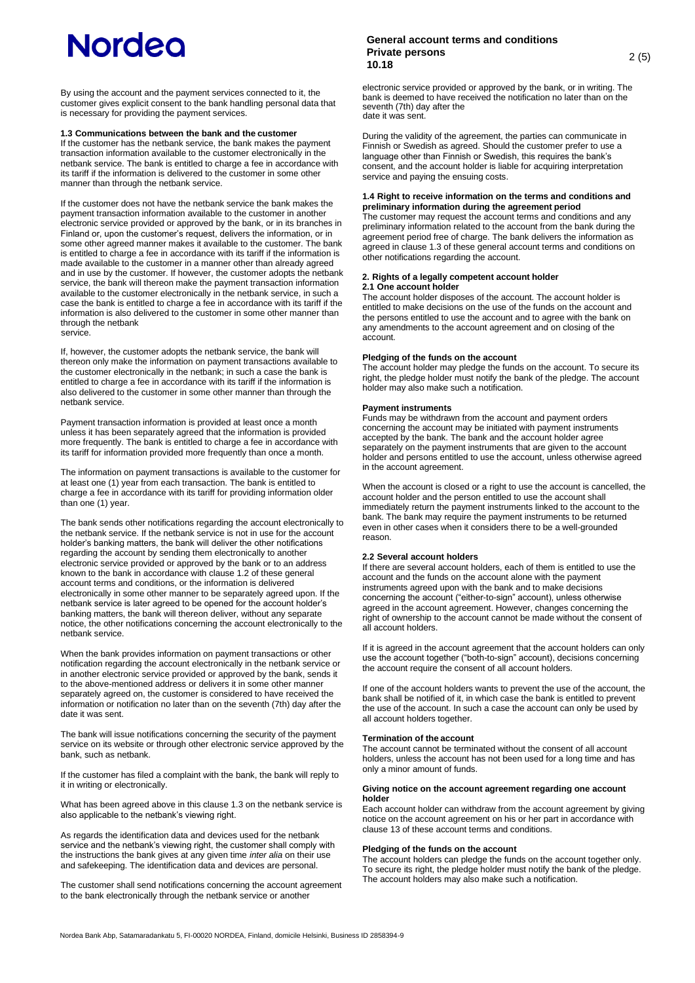By using the account and the payment services connected to it, the customer gives explicit consent to the bank handling personal data that is necessary for providing the payment services.

## **1.3 Communications between the bank and the customer**

If the customer has the netbank service, the bank makes the payment transaction information available to the customer electronically in the netbank service. The bank is entitled to charge a fee in accordance with its tariff if the information is delivered to the customer in some other manner than through the netbank service.

If the customer does not have the netbank service the bank makes the payment transaction information available to the customer in another electronic service provided or approved by the bank, or in its branches in Finland or, upon the customer's request, delivers the information, or in some other agreed manner makes it available to the customer. The bank is entitled to charge a fee in accordance with its tariff if the information is made available to the customer in a manner other than already agreed and in use by the customer. If however, the customer adopts the netbank service, the bank will thereon make the payment transaction information available to the customer electronically in the netbank service, in such a case the bank is entitled to charge a fee in accordance with its tariff if the information is also delivered to the customer in some other manner than through the netbank service.

If, however, the customer adopts the netbank service, the bank will thereon only make the information on payment transactions available to the customer electronically in the netbank; in such a case the bank is entitled to charge a fee in accordance with its tariff if the information is also delivered to the customer in some other manner than through the netbank service.

Payment transaction information is provided at least once a month unless it has been separately agreed that the information is provided more frequently. The bank is entitled to charge a fee in accordance with its tariff for information provided more frequently than once a month.

The information on payment transactions is available to the customer for at least one (1) year from each transaction. The bank is entitled to charge a fee in accordance with its tariff for providing information older than one (1) year.

The bank sends other notifications regarding the account electronically to the netbank service. If the netbank service is not in use for the account holder's banking matters, the bank will deliver the other notifications regarding the account by sending them electronically to another electronic service provided or approved by the bank or to an address known to the bank in accordance with clause 1.2 of these general account terms and conditions, or the information is delivered electronically in some other manner to be separately agreed upon. If the netbank service is later agreed to be opened for the account holder's banking matters, the bank will thereon deliver, without any separate notice, the other notifications concerning the account electronically to the netbank service.

When the bank provides information on payment transactions or other notification regarding the account electronically in the netbank service or in another electronic service provided or approved by the bank, sends it to the above-mentioned address or delivers it in some other manner separately agreed on, the customer is considered to have received the information or notification no later than on the seventh (7th) day after the date it was sent.

The bank will issue notifications concerning the security of the payment service on its website or through other electronic service approved by the bank, such as netbank.

If the customer has filed a complaint with the bank, the bank will reply to it in writing or electronically.

What has been agreed above in this clause 1.3 on the netbank service is also applicable to the netbank's viewing right.

As regards the identification data and devices used for the netbank service and the netbank's viewing right, the customer shall comply with the instructions the bank gives at any given time *inter alia* on their use and safekeeping. The identification data and devices are personal.

The customer shall send notifications concerning the account agreement to the bank electronically through the netbank service or another

## **General account terms and conditions Private persons 10.18** 2 (5)

electronic service provided or approved by the bank, or in writing. The bank is deemed to have received the notification no later than on the seventh (7th) day after the date it was sent.

During the validity of the agreement, the parties can communicate in Finnish or Swedish as agreed. Should the customer prefer to use a language other than Finnish or Swedish, this requires the bank's consent, and the account holder is liable for acquiring interpretation service and paying the ensuing costs.

## **1.4 Right to receive information on the terms and conditions and preliminary information during the agreement period**

The customer may request the account terms and conditions and any preliminary information related to the account from the bank during the agreement period free of charge. The bank delivers the information as agreed in clause 1.3 of these general account terms and conditions on other notifications regarding the account.

## **2. Rights of a legally competent account holder 2.1 One account holder**

The account holder disposes of the account. The account holder is entitled to make decisions on the use of the funds on the account and the persons entitled to use the account and to agree with the bank on any amendments to the account agreement and on closing of the account.

## **Pledging of the funds on the account**

The account holder may pledge the funds on the account. To secure its right, the pledge holder must notify the bank of the pledge. The account holder may also make such a notification.

## **Payment instruments**

Funds may be withdrawn from the account and payment orders concerning the account may be initiated with payment instruments accepted by the bank. The bank and the account holder agree separately on the payment instruments that are given to the account holder and persons entitled to use the account, unless otherwise agreed in the account agreement.

When the account is closed or a right to use the account is cancelled, the account holder and the person entitled to use the account shall immediately return the payment instruments linked to the account to the bank. The bank may require the payment instruments to be returned even in other cases when it considers there to be a well-grounded reason.

## **2.2 Several account holders**

If there are several account holders, each of them is entitled to use the account and the funds on the account alone with the payment instruments agreed upon with the bank and to make decisions concerning the account ("either-to-sign" account), unless otherwise agreed in the account agreement. However, changes concerning the right of ownership to the account cannot be made without the consent of all account holders.

If it is agreed in the account agreement that the account holders can only use the account together ("both-to-sign" account), decisions concerning the account require the consent of all account holders.

If one of the account holders wants to prevent the use of the account, the bank shall be notified of it, in which case the bank is entitled to prevent the use of the account. In such a case the account can only be used by all account holders together.

## **Termination of the account**

The account cannot be terminated without the consent of all account holders, unless the account has not been used for a long time and has only a minor amount of funds.

## **Giving notice on the account agreement regarding one account holder**

Each account holder can withdraw from the account agreement by giving notice on the account agreement on his or her part in accordance with clause 13 of these account terms and conditions.

## **Pledging of the funds on the account**

The account holders can pledge the funds on the account together only. To secure its right, the pledge holder must notify the bank of the pledge. The account holders may also make such a notification.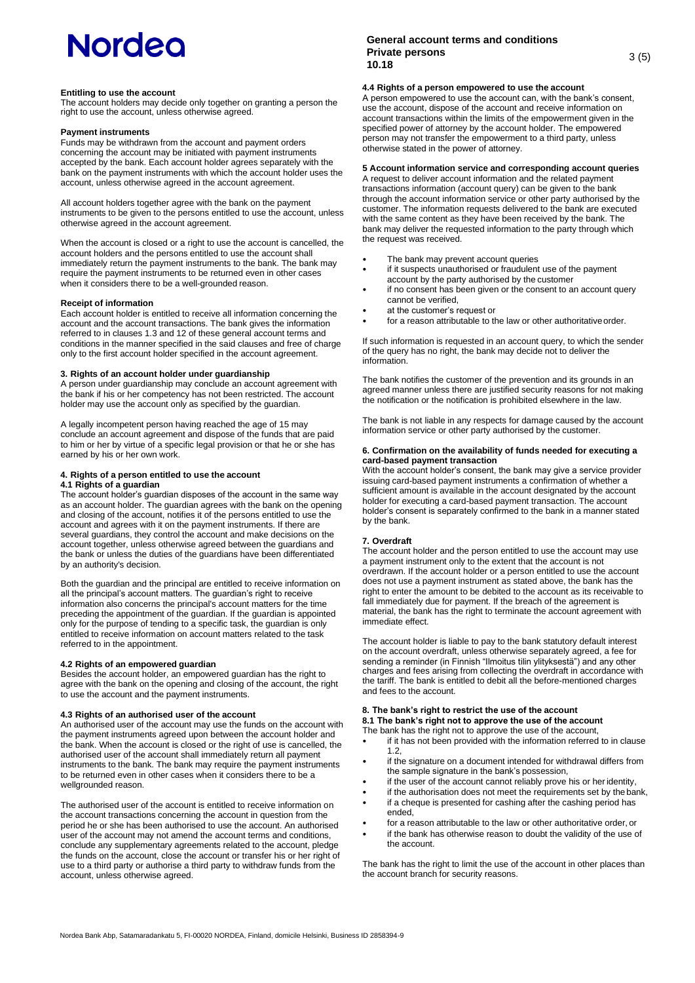#### **Entitling to use the account**

The account holders may decide only together on granting a person the right to use the account, unless otherwise agreed.

#### **Payment instruments**

Funds may be withdrawn from the account and payment orders concerning the account may be initiated with payment instruments accepted by the bank. Each account holder agrees separately with the bank on the payment instruments with which the account holder uses the account, unless otherwise agreed in the account agreement.

All account holders together agree with the bank on the payment instruments to be given to the persons entitled to use the account, unless otherwise agreed in the account agreement.

When the account is closed or a right to use the account is cancelled, the account holders and the persons entitled to use the account shall immediately return the payment instruments to the bank. The bank may require the payment instruments to be returned even in other cases when it considers there to be a well-grounded reason.

#### **Receipt of information**

Each account holder is entitled to receive all information concerning the account and the account transactions. The bank gives the information referred to in clauses 1.3 and 12 of these general account terms and conditions in the manner specified in the said clauses and free of charge only to the first account holder specified in the account agreement.

## **3. Rights of an account holder under guardianship**

A person under guardianship may conclude an account agreement with the bank if his or her competency has not been restricted. The account holder may use the account only as specified by the guardian.

A legally incompetent person having reached the age of 15 may conclude an account agreement and dispose of the funds that are paid to him or her by virtue of a specific legal provision or that he or she has earned by his or her own work.

# **4. Rights of a person entitled to use the account**

## **4.1 Rights of a guardian**

The account holder's guardian disposes of the account in the same way as an account holder. The guardian agrees with the bank on the opening and closing of the account, notifies it of the persons entitled to use the account and agrees with it on the payment instruments. If there are several guardians, they control the account and make decisions on the account together, unless otherwise agreed between the guardians and the bank or unless the duties of the guardians have been differentiated by an authority's decision.

Both the guardian and the principal are entitled to receive information on all the principal's account matters. The guardian's right to receive information also concerns the principal's account matters for the time preceding the appointment of the guardian. If the guardian is appointed only for the purpose of tending to a specific task, the guardian is only entitled to receive information on account matters related to the task referred to in the appointment.

## **4.2 Rights of an empowered guardian**

Besides the account holder, an empowered guardian has the right to agree with the bank on the opening and closing of the account, the right to use the account and the payment instruments.

#### **4.3 Rights of an authorised user of the account**

An authorised user of the account may use the funds on the account with the payment instruments agreed upon between the account holder and the bank. When the account is closed or the right of use is cancelled, the authorised user of the account shall immediately return all payment instruments to the bank. The bank may require the payment instruments to be returned even in other cases when it considers there to be a wellgrounded reason.

The authorised user of the account is entitled to receive information on the account transactions concerning the account in question from the period he or she has been authorised to use the account. An authorised user of the account may not amend the account terms and conditions, conclude any supplementary agreements related to the account, pledge the funds on the account, close the account or transfer his or her right of use to a third party or authorise a third party to withdraw funds from the account, unless otherwise agreed.

## **General account terms and conditions Private persons 10.18** 3 (5)

## **4.4 Rights of a person empowered to use the account**

A person empowered to use the account can, with the bank's consent, use the account, dispose of the account and receive information on account transactions within the limits of the empowerment given in the specified power of attorney by the account holder. The empowered person may not transfer the empowerment to a third party, unless otherwise stated in the power of attorney.

## **5 Account information service and corresponding account queries**

A request to deliver account information and the related payment transactions information (account query) can be given to the bank through the account information service or other party authorised by the customer. The information requests delivered to the bank are executed with the same content as they have been received by the bank. The bank may deliver the requested information to the party through which the request was received.

- The bank may prevent account queries
- if it suspects unauthorised or fraudulent use of the payment account by the party authorised by the customer
- if no consent has been given or the consent to an account query cannot be verified,
- at the customer's request or
- for a reason attributable to the law or other authoritative order.

If such information is requested in an account query, to which the sender of the query has no right, the bank may decide not to deliver the information.

The bank notifies the customer of the prevention and its grounds in an agreed manner unless there are justified security reasons for not making the notification or the notification is prohibited elsewhere in the law.

The bank is not liable in any respects for damage caused by the account information service or other party authorised by the customer.

#### **6. Confirmation on the availability of funds needed for executing a card-based payment transaction**

With the account holder's consent, the bank may give a service provider issuing card-based payment instruments a confirmation of whether a sufficient amount is available in the account designated by the account holder for executing a card-based payment transaction. The account holder's consent is separately confirmed to the bank in a manner stated by the bank.

## **7. Overdraft**

The account holder and the person entitled to use the account may use a payment instrument only to the extent that the account is not overdrawn. If the account holder or a person entitled to use the account does not use a payment instrument as stated above, the bank has the right to enter the amount to be debited to the account as its receivable to fall immediately due for payment. If the breach of the agreement is material, the bank has the right to terminate the account agreement with immediate effect.

The account holder is liable to pay to the bank statutory default interest on the account overdraft, unless otherwise separately agreed, a fee for sending a reminder (in Finnish "Ilmoitus tilin ylityksestä") and any other charges and fees arising from collecting the overdraft in accordance with the tariff. The bank is entitled to debit all the before-mentioned charges and fees to the account.

## **8. The bank's right to restrict the use of the account 8.1 The bank's right not to approve the use of the account**

The bank has the right not to approve the use of the account,

- if it has not been provided with the information referred to in clause 1.2,
- if the signature on a document intended for withdrawal differs from the sample signature in the bank's possession,
- if the user of the account cannot reliably prove his or heridentity,
- if the authorisation does not meet the requirements set by the bank,
- if a cheque is presented for cashing after the cashing period has ended,
- for a reason attributable to the law or other authoritative order, or
- if the bank has otherwise reason to doubt the validity of the use of the account.

The bank has the right to limit the use of the account in other places than the account branch for security reasons.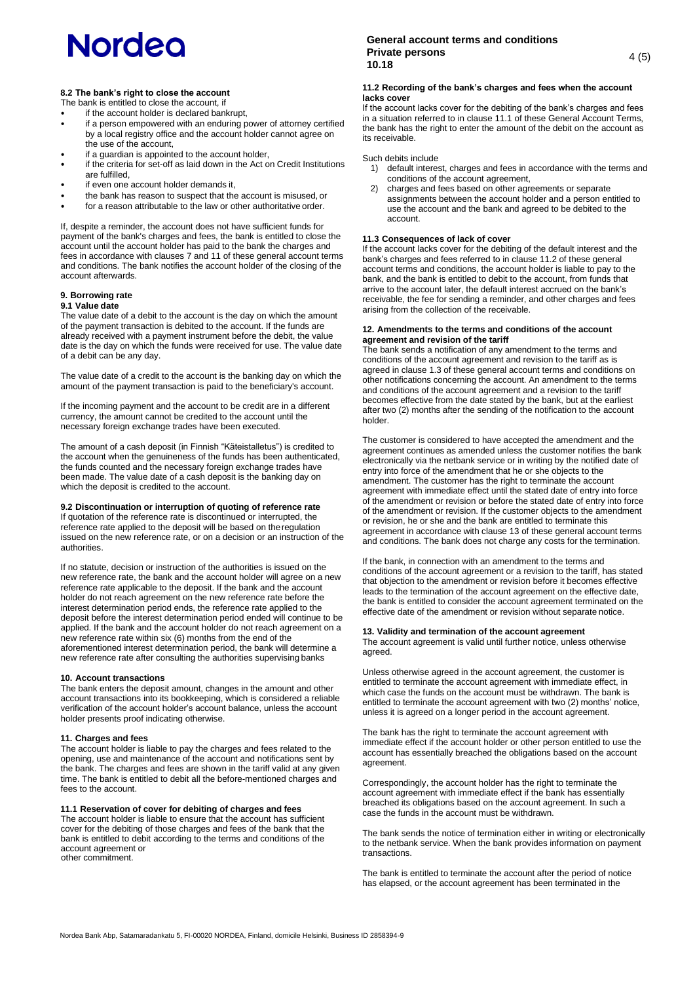## **8.2 The bank's right to close the account**

The bank is entitled to close the account, if

- if the account holder is declared bankrupt, if a person empowered with an enduring power of attorney certified by a local registry office and the account holder cannot agree on the use of the account,
- if a guardian is appointed to the account holder,
- if the criteria for set-off as laid down in the Act on Credit Institutions are fulfilled,
- if even one account holder demands it.
- the bank has reason to suspect that the account is misused, or
- for a reason attributable to the law or other authoritative order.

If, despite a reminder, the account does not have sufficient funds for payment of the bank's charges and fees, the bank is entitled to close the account until the account holder has paid to the bank the charges and fees in accordance with clauses 7 and 11 of these general account terms and conditions. The bank notifies the account holder of the closing of the account afterwards.

## **9. Borrowing rate**

## **9.1 Value date**

The value date of a debit to the account is the day on which the amount of the payment transaction is debited to the account. If the funds are already received with a payment instrument before the debit, the value date is the day on which the funds were received for use. The value date of a debit can be any day.

The value date of a credit to the account is the banking day on which the amount of the payment transaction is paid to the beneficiary's account.

If the incoming payment and the account to be credit are in a different currency, the amount cannot be credited to the account until the necessary foreign exchange trades have been executed.

The amount of a cash deposit (in Finnish "Käteistalletus") is credited to the ansame of a cash as point (in minimity) indicated of the account when the genuineness of the funds has been authenticated, the funds counted and the necessary foreign exchange trades have been made. The value date of a cash deposit is the banking day on which the deposit is credited to the account.

## **9.2 Discontinuation or interruption of quoting of reference rate**

If quotation of the reference rate is discontinued or interrupted, the reference rate applied to the deposit will be based on theregulation issued on the new reference rate, or on a decision or an instruction of the authorities.

If no statute, decision or instruction of the authorities is issued on the new reference rate, the bank and the account holder will agree on a new reference rate applicable to the deposit. If the bank and the account holder do not reach agreement on the new reference rate before the interest determination period ends, the reference rate applied to the deposit before the interest determination period ended will continue to be applied. If the bank and the account holder do not reach agreement on a new reference rate within six (6) months from the end of the aforementioned interest determination period, the bank will determine a new reference rate after consulting the authorities supervising banks

## **10. Account transactions**

The bank enters the deposit amount, changes in the amount and other account transactions into its bookkeeping, which is considered a reliable verification of the account holder's account balance, unless the account holder presents proof indicating otherwise.

## **11. Charges and fees**

The account holder is liable to pay the charges and fees related to the opening, use and maintenance of the account and notifications sent by the bank. The charges and fees are shown in the tariff valid at any given time. The bank is entitled to debit all the before-mentioned charges and fees to the account.

## **11.1 Reservation of cover for debiting of charges and fees**

The account holder is liable to ensure that the account has sufficient cover for the debiting of those charges and fees of the bank that the bank is entitled to debit according to the terms and conditions of the account agreement or other commitment.

## **General account terms and conditions Private persons 10.18** 4 (5)

## **11.2 Recording of the bank's charges and fees when the account lacks cover**

If the account lacks cover for the debiting of the bank's charges and fees in a situation referred to in clause 11.1 of these General Account Terms, the bank has the right to enter the amount of the debit on the account as its receivable.

Such debits include

- 1) default interest, charges and fees in accordance with the terms and conditions of the account agreement,
- charges and fees based on other agreements or separate assignments between the account holder and a person entitled to use the account and the bank and agreed to be debited to the account.

## **11.3 Consequences of lack of cover**

If the account lacks cover for the debiting of the default interest and the bank's charges and fees referred to in clause 11.2 of these general account terms and conditions, the account holder is liable to pay to the bank, and the bank is entitled to debit to the account, from funds that arrive to the account later, the default interest accrued on the bank's receivable, the fee for sending a reminder, and other charges and fees arising from the collection of the receivable.

## **12. Amendments to the terms and conditions of the account agreement and revision of the tariff**

The bank sends a notification of any amendment to the terms and conditions of the account agreement and revision to the tariff as is agreed in clause 1.3 of these general account terms and conditions on other notifications concerning the account. An amendment to the terms and conditions of the account agreement and a revision to the tariff becomes effective from the date stated by the bank, but at the earliest after two (2) months after the sending of the notification to the account holder.

The customer is considered to have accepted the amendment and the agreement continues as amended unless the customer notifies the bank electronically via the netbank service or in writing by the notified date of entry into force of the amendment that he or she objects to the amendment. The customer has the right to terminate the account agreement with immediate effect until the stated date of entry into force of the amendment or revision or before the stated date of entry into force of the amendment or revision. If the customer objects to the amendment or revision, he or she and the bank are entitled to terminate this agreement in accordance with clause 13 of these general account terms and conditions. The bank does not charge any costs for the termination.

If the bank, in connection with an amendment to the terms and conditions of the account agreement or a revision to the tariff, has stated that objection to the amendment or revision before it becomes effective leads to the termination of the account agreement on the effective date, the bank is entitled to consider the account agreement terminated on the effective date of the amendment or revision without separate notice.

## **13. Validity and termination of the account agreement**

The account agreement is valid until further notice, unless otherwise agreed.

Unless otherwise agreed in the account agreement, the customer is entitled to terminate the account agreement with immediate effect, in which case the funds on the account must be withdrawn. The bank is entitled to terminate the account agreement with two (2) months' notice, unless it is agreed on a longer period in the account agreement.

The bank has the right to terminate the account agreement with immediate effect if the account holder or other person entitled to use the account has essentially breached the obligations based on the account agreement.

Correspondingly, the account holder has the right to terminate the account agreement with immediate effect if the bank has essentially breached its obligations based on the account agreement. In such a case the funds in the account must be withdrawn.

The bank sends the notice of termination either in writing or electronically to the netbank service. When the bank provides information on payment transactions.

The bank is entitled to terminate the account after the period of notice has elapsed, or the account agreement has been terminated in the